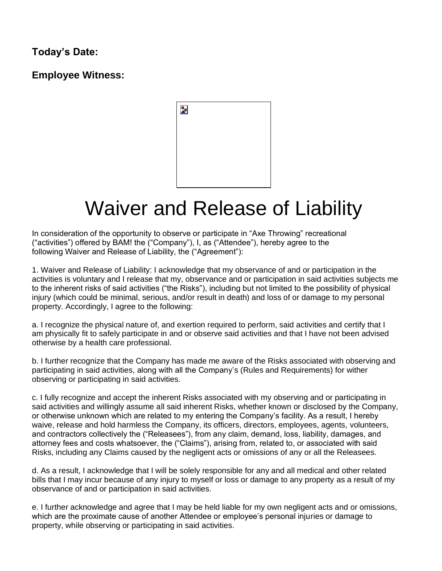## **Today's Date:**

**Employee Witness:**



# Waiver and Release of Liability

In consideration of the opportunity to observe or participate in "Axe Throwing" recreational ("activities") offered by BAM! the ("Company"), I, as ("Attendee"), hereby agree to the following Waiver and Release of Liability, the ("Agreement"):

1. Waiver and Release of Liability: I acknowledge that my observance of and or participation in the activities is voluntary and I release that my, observance and or participation in said activities subjects me to the inherent risks of said activities ("the Risks"), including but not limited to the possibility of physical injury (which could be minimal, serious, and/or result in death) and loss of or damage to my personal property. Accordingly, I agree to the following:

a. I recognize the physical nature of, and exertion required to perform, said activities and certify that I am physically fit to safely participate in and or observe said activities and that I have not been advised otherwise by a health care professional.

b. I further recognize that the Company has made me aware of the Risks associated with observing and participating in said activities, along with all the Company's (Rules and Requirements) for wither observing or participating in said activities.

c. I fully recognize and accept the inherent Risks associated with my observing and or participating in said activities and willingly assume all said inherent Risks, whether known or disclosed by the Company, or otherwise unknown which are related to my entering the Company's facility. As a result, I hereby waive, release and hold harmless the Company, its officers, directors, employees, agents, volunteers, and contractors collectively the ("Releasees"), from any claim, demand, loss, liability, damages, and attorney fees and costs whatsoever, the ("Claims"), arising from, related to, or associated with said Risks, including any Claims caused by the negligent acts or omissions of any or all the Releasees.

d. As a result, I acknowledge that I will be solely responsible for any and all medical and other related bills that I may incur because of any injury to myself or loss or damage to any property as a result of my observance of and or participation in said activities.

e. I further acknowledge and agree that I may be held liable for my own negligent acts and or omissions, which are the proximate cause of another Attendee or employee's personal injuries or damage to property, while observing or participating in said activities.